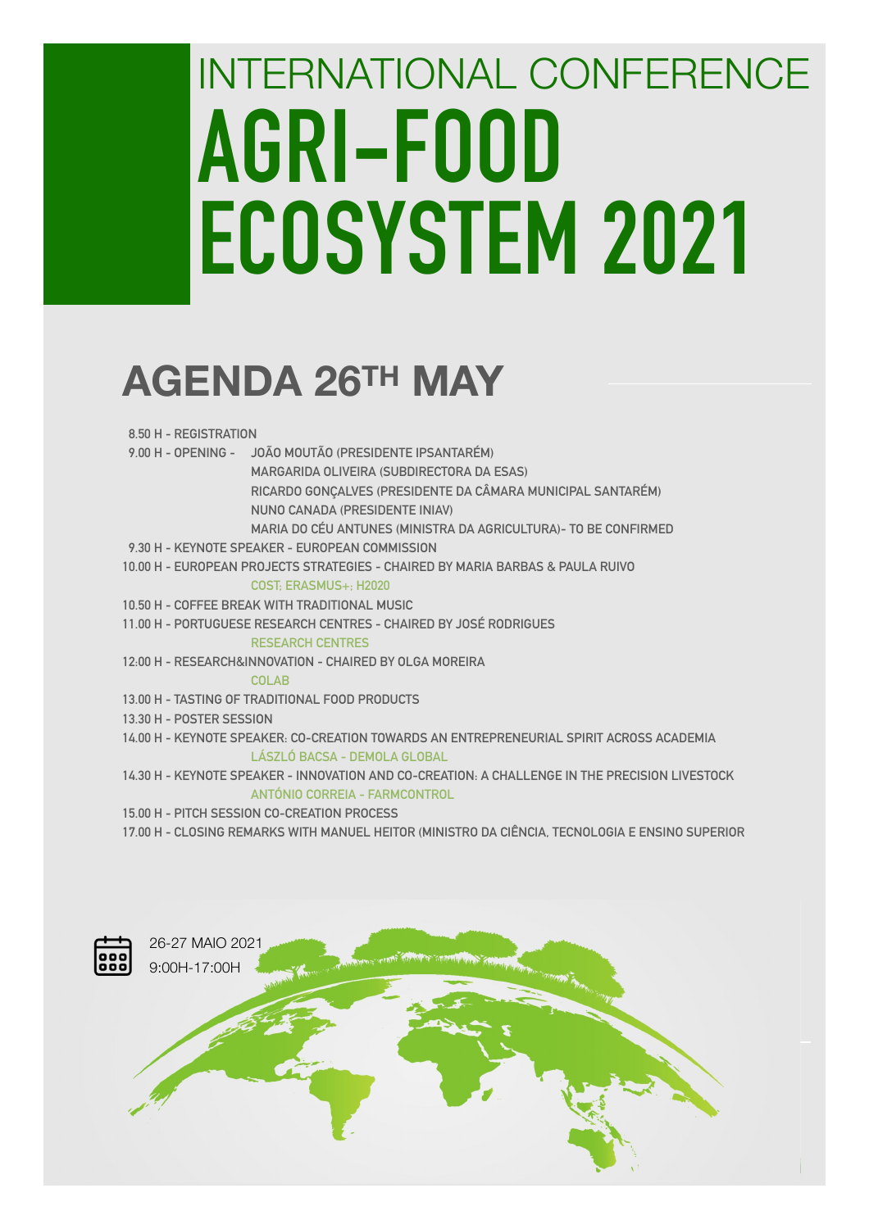# INTERNATIONAL CONFERENCE **AGRI-FOOD ECOSYSTEM 2021**

## **AGENDA 26TH MAY**

| 8.50 H - REGISTRATION |  |
|-----------------------|--|
|-----------------------|--|

- **9.00 H OPENING JOÃO MOUTÃO (PRESIDENTE IPSANTARÉM)** 
	- **MARGARIDA OLIVEIRA (SUBDIRECTORA DA ESAS)**
	- **RICARDO GONÇALVES (PRESIDENTE DA CÂMARA MUNICIPAL SANTARÉM)**
	- **NUNO CANADA (PRESIDENTE INIAV)** 
		- **MARIA DO CÉU ANTUNES (MINISTRA DA AGRICULTURA)- TO BE CONFIRMED**
- **9.30 H KEYNOTE SPEAKER EUROPEAN COMMISSION**
- **10.00 H EUROPEAN PROJECTS STRATEGIES CHAIRED BY MARIA BARBAS & PAULA RUIVO**

#### **COST; ERASMUS+; H2020**

- **10.50 H COFFEE BREAK WITH TRADITIONAL MUSIC**
- **11.00 H PORTUGUESE RESEARCH CENTRES CHAIRED BY JOSÉ RODRIGUES**

#### **RESEARCH CENTRES**

**12:00 H - RESEARCH&INNOVATION - CHAIRED BY OLGA MOREIRA** 

#### **COLAB**

- **13.00 H TASTING OF TRADITIONAL FOOD PRODUCTS**
- **13.30 H POSTER SESSION**
- **14.00 H KEYNOTE SPEAKER: CO-CREATION TOWARDS AN ENTREPRENEURIAL SPIRIT ACROSS ACADEMIA LÁSZLÓ BACSA - DEMOLA GLOBAL**
- **14.30 H KEYNOTE SPEAKER INNOVATION AND CO-CREATION: A CHALLENGE IN THE PRECISION LIVESTOCK ANTÓNIO CORREIA - FARMCONTROL**
- **15.00 H PITCH SESSION CO-CREATION PROCESS**
- **17.00 H CLOSING REMARKS WITH MANUEL HEITOR (MINISTRO DA CIÊNCIA, TECNOLOGIA E ENSINO SUPERIOR**

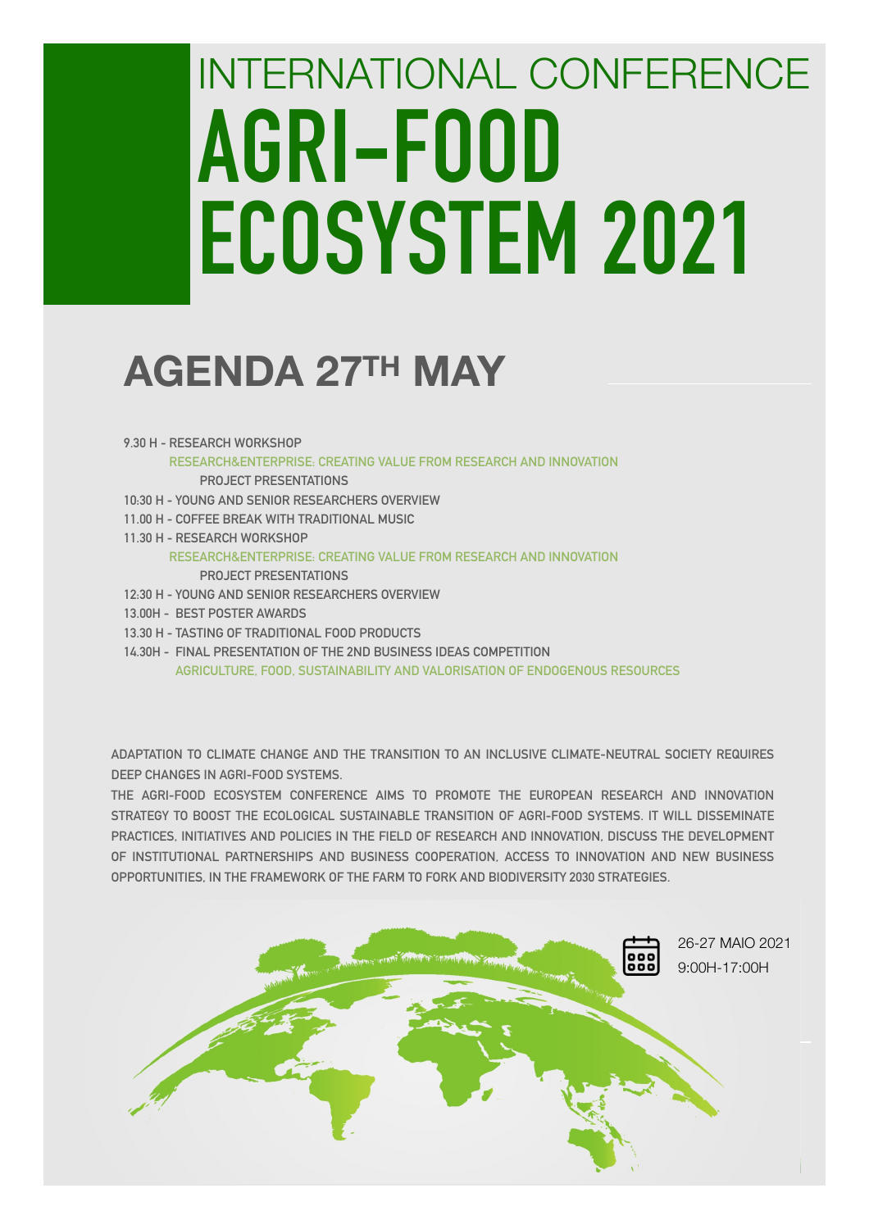# INTERNATIONAL CONFERENCE **AGRI-FOOD ECOSYSTEM 2021**

### **AGENDA 27TH MAY**

- **9.30 H RESEARCH WORKSHOP** 
	- **RESEARCH&ENTERPRISE: CREATING VALUE FROM RESEARCH AND INNOVATION PROJECT PRESENTATIONS**
- **10:30 H YOUNG AND SENIOR RESEARCHERS OVERVIEW**
- **11.00 H COFFEE BREAK WITH TRADITIONAL MUSIC**
- **11.30 H RESEARCH WORKSHOP**

#### **RESEARCH&ENTERPRISE: CREATING VALUE FROM RESEARCH AND INNOVATION PROJECT PRESENTATIONS**

- **12:30 H YOUNG AND SENIOR RESEARCHERS OVERVIEW**
- **13.00H BEST POSTER AWARDS**
- **13.30 H TASTING OF TRADITIONAL FOOD PRODUCTS**
- **14.30H FINAL PRESENTATION OF THE 2ND BUSINESS IDEAS COMPETITION AGRICULTURE, FOOD, SUSTAINABILITY AND VALORISATION OF ENDOGENOUS RESOURCES**

**ADAPTATION TO CLIMATE CHANGE AND THE TRANSITION TO AN INCLUSIVE CLIMATE-NEUTRAL SOCIETY REQUIRES DEEP CHANGES IN AGRI-FOOD SYSTEMS.** 

**THE AGRI-FOOD ECOSYSTEM CONFERENCE AIMS TO PROMOTE THE EUROPEAN RESEARCH AND INNOVATION STRATEGY TO BOOST THE ECOLOGICAL SUSTAINABLE TRANSITION OF AGRI-FOOD SYSTEMS. IT WILL DISSEMINATE PRACTICES, INITIATIVES AND POLICIES IN THE FIELD OF RESEARCH AND INNOVATION, DISCUSS THE DEVELOPMENT OF INSTITUTIONAL PARTNERSHIPS AND BUSINESS COOPERATION, ACCESS TO INNOVATION AND NEW BUSINESS OPPORTUNITIES, IN THE FRAMEWORK OF THE FARM TO FORK AND BIODIVERSITY 2030 STRATEGIES.**